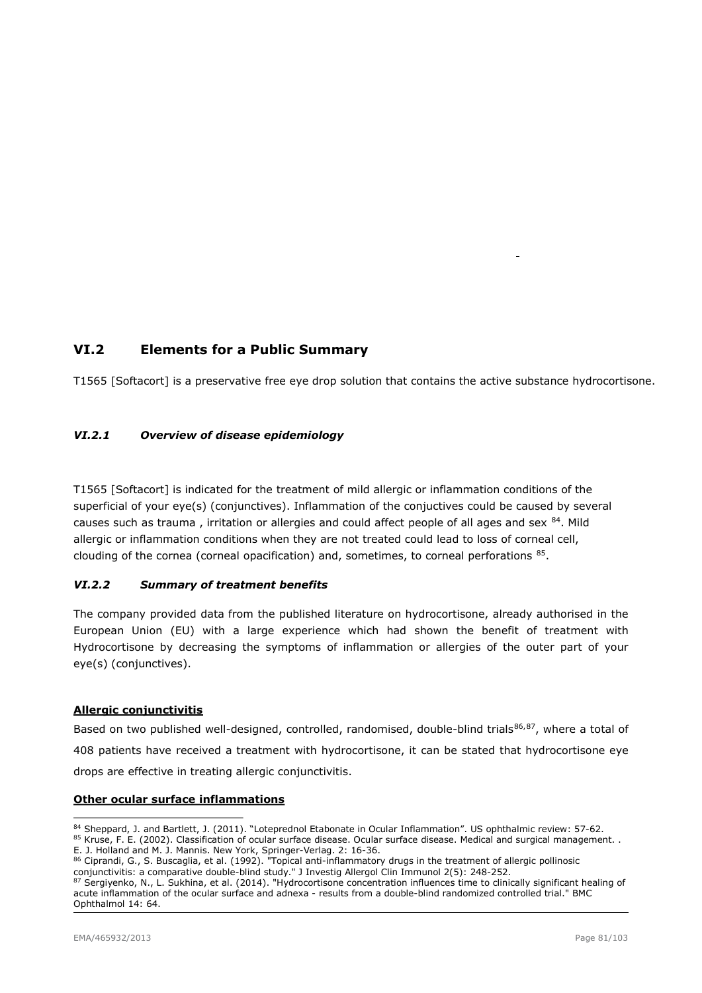# VI.2 Elements for a Public Summary

T1565 [Softacort] is a preservative free eye drop solution that contains the active substance hydrocortisone.

# VI.2.1 Overview of disease epidemiology

T1565 [Softacort] is indicated for the treatment of mild allergic or inflammation conditions of the superficial of your eye(s) (conjunctives). Inflammation of the conjuctives could be caused by several causes such as trauma, irritation or allergies and could affect people of all ages and sex 84. Mild allergic or inflammation conditions when they are not treated could lead to loss of corneal cell, clouding of the cornea (corneal opacification) and, sometimes, to corneal perforations  $^{85}$ .

## VI.2.2 Summary of treatment benefits

The company provided data from the published literature on hydrocortisone, already authorised in the European Union (EU) with a large experience which had shown the benefit of treatment with Hydrocortisone by decreasing the symptoms of inflammation or allergies of the outer part of your eye(s) (conjunctives).

## Allergic conjunctivitis

Based on two published well-designed, controlled, randomised, double-blind trials<sup>86,87</sup>, where a total of 408 patients have received a treatment with hydrocortisone, it can be stated that hydrocortisone eye drops are effective in treating allergic conjunctivitis.

## Other ocular surface inflammations

- 84 Sheppard, J. and Bartlett, J. (2011). "Loteprednol Etabonate in Ocular Inflammation". US ophthalmic review: 57-62.
- 85 Kruse, F. E. (2002). Classification of ocular surface disease. Ocular surface disease. Medical and surgical management.. E. J. Holland and M. J. Mannis. New York, Springer-Verlag. 2: 16-36.
- 86 Ciprandi, G., S. Buscaglia, et al. (1992). "Topical anti-inflammatory drugs in the treatment of allergic pollinosic conjunctivitis: a comparative double-blind study." J Investig Allergol Clin Immunol 2(5): 248-252.

87 Sergiyenko, N., L. Sukhina, et al. (2014). "Hydrocortisone concentration influences time to clinically significant healing of acute inflammation of the ocular surface and adnexa - results from a double-blind randomized controlled trial." BMC Ophthalmol 14: 64.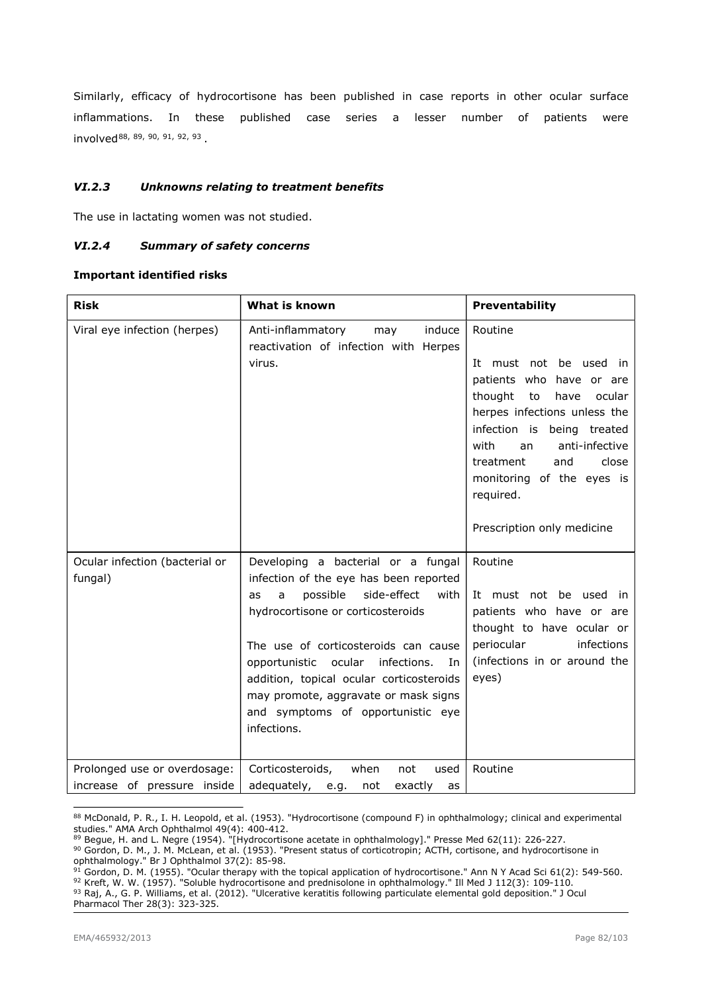Similarly, efficacy of hydrocortisone has been published in case reports in other ocular surface inflammations. In these published case series a lesser number of patients were involved88, 89, 90, 91, 92, 93 .

# VI.2.3 Unknowns relating to treatment benefits

The use in lactating women was not studied.

## VI.2.4 Summary of safety concerns

#### Important identified risks

| <b>Risk</b>                                                 | What is known                                                                                                                                                                                                                                                                                                                                                                             | Preventability                                                                                                                                                                                                                                                                                      |
|-------------------------------------------------------------|-------------------------------------------------------------------------------------------------------------------------------------------------------------------------------------------------------------------------------------------------------------------------------------------------------------------------------------------------------------------------------------------|-----------------------------------------------------------------------------------------------------------------------------------------------------------------------------------------------------------------------------------------------------------------------------------------------------|
| Viral eye infection (herpes)                                | Anti-inflammatory<br>induce<br>may<br>reactivation of infection with Herpes<br>virus.                                                                                                                                                                                                                                                                                                     | Routine<br>It must not be used in<br>patients who have or are<br>thought<br>to<br>have<br>ocular<br>herpes infections unless the<br>infection is being treated<br>with<br>anti-infective<br>an<br>close<br>treatment<br>and<br>monitoring of the eyes is<br>required.<br>Prescription only medicine |
| Ocular infection (bacterial or<br>fungal)                   | Developing a bacterial or a fungal<br>infection of the eye has been reported<br>possible<br>with<br>side-effect<br>a<br>as<br>hydrocortisone or corticosteroids<br>The use of corticosteroids can cause<br>opportunistic ocular infections.<br>In<br>addition, topical ocular corticosteroids<br>may promote, aggravate or mask signs<br>and symptoms of opportunistic eye<br>infections. | Routine<br>It must not be used in<br>patients who have or are<br>thought to have ocular or<br>periocular<br>infections<br>(infections in or around the<br>eyes)                                                                                                                                     |
| Prolonged use or overdosage:<br>increase of pressure inside | Corticosteroids,<br>when<br>not<br>used<br>adequately, e.g.<br>not<br>exactly<br>as                                                                                                                                                                                                                                                                                                       | Routine                                                                                                                                                                                                                                                                                             |

<sup>88</sup> McDonald, P. R., I. H. Leopold, et al. (1953). "Hydrocortisone (compound F) in ophthalmology; clinical and experimental studies." AMA Arch Ophthalmol 49(4): 400-412.

 $91$  Gordon, D. M. (1955). "Ocular therapy with the topical application of hydrocortisone." Ann N Y Acad Sci 61(2): 549-560. <sup>92</sup> Kreft, W. W. (1957). "Soluble hydrocortisone and prednisolone in ophthalmology." Ill Med J 112(3): 109-110. 93 Raj, A., G. P. Williams, et al. (2012). "Ulcerative keratitis following particulate elemental gold deposition." J Ocul Pharmacol Ther 28(3): 323-325.

<sup>&</sup>lt;sup>89</sup> Begue, H. and L. Negre (1954). "[Hydrocortisone acetate in ophthalmology]." Presse Med 62(11): 226-227.

<sup>90</sup> Gordon, D. M., J. M. McLean, et al. (1953). "Present status of corticotropin; ACTH, cortisone, and hydrocortisone in ophthalmology." Br J Ophthalmol 37(2): 85-98.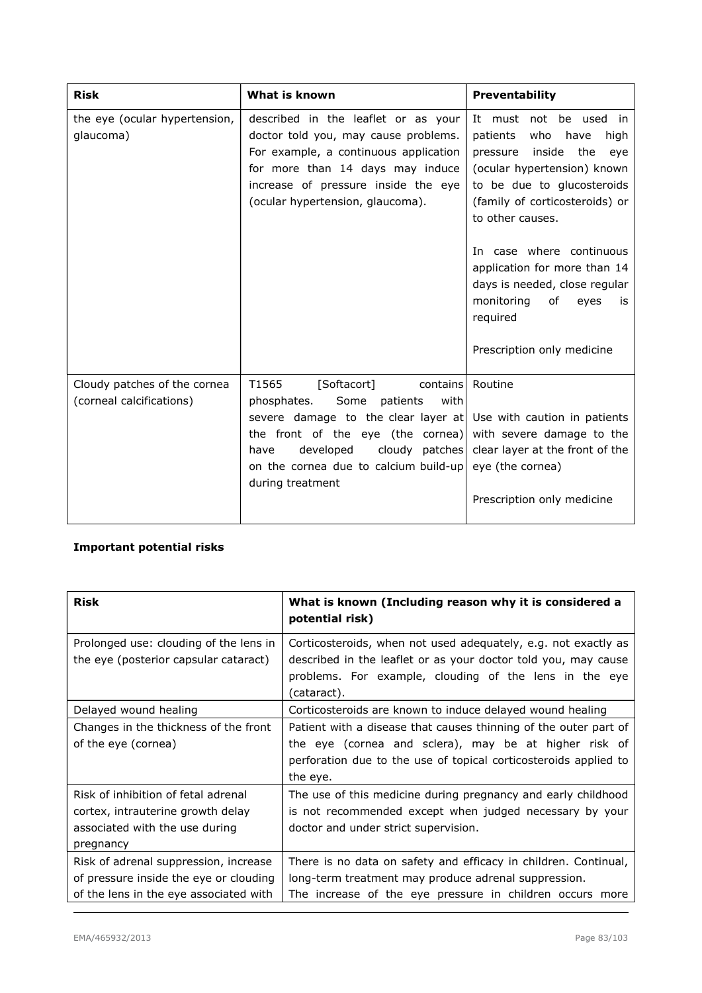| <b>Risk</b>                                | What is known                                                                                                                                                                                                                       | <b>Preventability</b>                                                                                                                                                                                         |
|--------------------------------------------|-------------------------------------------------------------------------------------------------------------------------------------------------------------------------------------------------------------------------------------|---------------------------------------------------------------------------------------------------------------------------------------------------------------------------------------------------------------|
| the eye (ocular hypertension,<br>glaucoma) | described in the leaflet or as your<br>doctor told you, may cause problems.<br>For example, a continuous application<br>for more than 14 days may induce<br>increase of pressure inside the eye<br>(ocular hypertension, glaucoma). | It must not be used in<br>patients<br>who<br>high<br>have<br>inside the<br>pressure<br>eve<br>(ocular hypertension) known<br>to be due to glucosteroids<br>(family of corticosteroids) or<br>to other causes. |
|                                            |                                                                                                                                                                                                                                     | In case where continuous<br>application for more than 14<br>days is needed, close regular<br>monitoring<br>of<br>eyes<br>is<br>required<br>Prescription only medicine                                         |
| Cloudy patches of the cornea               | T1565<br>[Softacort]<br>contains                                                                                                                                                                                                    | Routine                                                                                                                                                                                                       |
| (corneal calcifications)                   | Some<br>patients<br>phosphates.<br>with<br>severe damage to the clear layer at Use with caution in patients<br>the front of the eye (the cornea)<br>developed<br>have<br>on the cornea due to calcium build-up<br>during treatment  | with severe damage to the<br>cloudy patches clear layer at the front of the<br>eye (the cornea)<br>Prescription only medicine                                                                                 |

# Important potential risks

| <b>Risk</b>                                                                                                               | What is known (Including reason why it is considered a<br>potential risk)                                                                                                                                 |
|---------------------------------------------------------------------------------------------------------------------------|-----------------------------------------------------------------------------------------------------------------------------------------------------------------------------------------------------------|
| Prolonged use: clouding of the lens in<br>the eye (posterior capsular cataract)                                           | Corticosteroids, when not used adequately, e.g. not exactly as<br>described in the leaflet or as your doctor told you, may cause<br>problems. For example, clouding of the lens in the eye<br>(cataract). |
| Delayed wound healing                                                                                                     | Corticosteroids are known to induce delayed wound healing                                                                                                                                                 |
| Changes in the thickness of the front<br>of the eye (cornea)                                                              | Patient with a disease that causes thinning of the outer part of<br>the eye (cornea and sclera), may be at higher risk of<br>perforation due to the use of topical corticosteroids applied to<br>the eye. |
| Risk of inhibition of fetal adrenal<br>cortex, intrauterine growth delay<br>associated with the use during<br>pregnancy   | The use of this medicine during pregnancy and early childhood<br>is not recommended except when judged necessary by your<br>doctor and under strict supervision.                                          |
| Risk of adrenal suppression, increase<br>of pressure inside the eye or clouding<br>of the lens in the eye associated with | There is no data on safety and efficacy in children. Continual,<br>long-term treatment may produce adrenal suppression.<br>The increase of the eye pressure in children occurs more                       |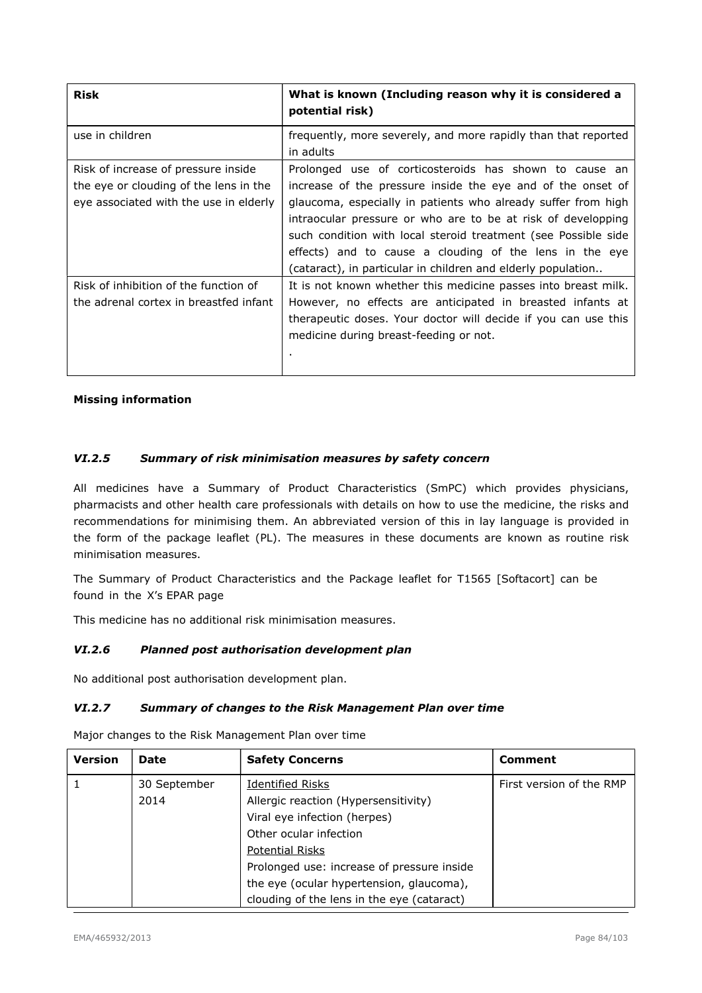| <b>Risk</b>                                                                                                             | What is known (Including reason why it is considered a<br>potential risk)                                                                                                                                                                                                                                                                                                                                                                           |
|-------------------------------------------------------------------------------------------------------------------------|-----------------------------------------------------------------------------------------------------------------------------------------------------------------------------------------------------------------------------------------------------------------------------------------------------------------------------------------------------------------------------------------------------------------------------------------------------|
| use in children                                                                                                         | frequently, more severely, and more rapidly than that reported<br>in adults                                                                                                                                                                                                                                                                                                                                                                         |
| Risk of increase of pressure inside<br>the eye or clouding of the lens in the<br>eye associated with the use in elderly | Prolonged use of corticosteroids has shown to cause an<br>increase of the pressure inside the eye and of the onset of<br>glaucoma, especially in patients who already suffer from high<br>intraocular pressure or who are to be at risk of developping<br>such condition with local steroid treatment (see Possible side<br>effects) and to cause a clouding of the lens in the eye<br>(cataract), in particular in children and elderly population |
| Risk of inhibition of the function of<br>the adrenal cortex in breastfed infant                                         | It is not known whether this medicine passes into breast milk.<br>However, no effects are anticipated in breasted infants at<br>therapeutic doses. Your doctor will decide if you can use this<br>medicine during breast-feeding or not.<br>٠                                                                                                                                                                                                       |

## Missing information

# VI.2.5 Summary of risk minimisation measures by safety concern

All medicines have a Summary of Product Characteristics (SmPC) which provides physicians, pharmacists and other health care professionals with details on how to use the medicine, the risks and recommendations for minimising them. An abbreviated version of this in lay language is provided in the form of the package leaflet (PL). The measures in these documents are known as routine risk minimisation measures.

The Summary of Product Characteristics and the Package leaflet for T1565 [Softacort] can be found in the X's EPAR page

This medicine has no additional risk minimisation measures.

## VI.2.6 Planned post authorisation development plan

No additional post authorisation development plan.

#### VI.2.7 Summary of changes to the Risk Management Plan over time

Major changes to the Risk Management Plan over time

| <b>Version</b> | <b>Date</b>  | <b>Safety Concerns</b>                     | <b>Comment</b>           |
|----------------|--------------|--------------------------------------------|--------------------------|
|                | 30 September | <b>Identified Risks</b>                    | First version of the RMP |
|                | 2014         | Allergic reaction (Hypersensitivity)       |                          |
|                |              | Viral eye infection (herpes)               |                          |
|                |              | Other ocular infection                     |                          |
|                |              | <b>Potential Risks</b>                     |                          |
|                |              | Prolonged use: increase of pressure inside |                          |
|                |              | the eye (ocular hypertension, glaucoma),   |                          |
|                |              | clouding of the lens in the eye (cataract) |                          |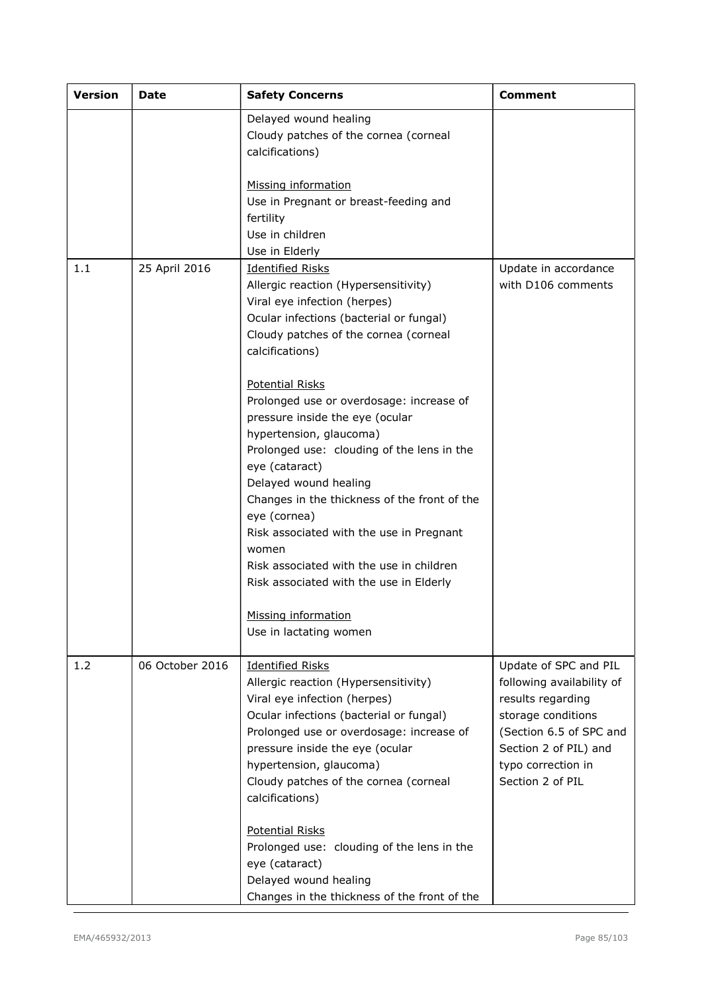| <b>Version</b> | <b>Date</b>     | <b>Safety Concerns</b>                                   | <b>Comment</b>            |
|----------------|-----------------|----------------------------------------------------------|---------------------------|
|                |                 | Delayed wound healing                                    |                           |
|                |                 | Cloudy patches of the cornea (corneal<br>calcifications) |                           |
|                |                 |                                                          |                           |
|                |                 | Missing information                                      |                           |
|                |                 | Use in Pregnant or breast-feeding and<br>fertility       |                           |
|                |                 | Use in children                                          |                           |
|                |                 | Use in Elderly                                           |                           |
| 1.1            | 25 April 2016   | <b>Identified Risks</b>                                  | Update in accordance      |
|                |                 | Allergic reaction (Hypersensitivity)                     | with D106 comments        |
|                |                 | Viral eye infection (herpes)                             |                           |
|                |                 | Ocular infections (bacterial or fungal)                  |                           |
|                |                 | Cloudy patches of the cornea (corneal                    |                           |
|                |                 | calcifications)                                          |                           |
|                |                 | <b>Potential Risks</b>                                   |                           |
|                |                 | Prolonged use or overdosage: increase of                 |                           |
|                |                 | pressure inside the eye (ocular                          |                           |
|                |                 | hypertension, glaucoma)                                  |                           |
|                |                 | Prolonged use: clouding of the lens in the               |                           |
|                |                 | eye (cataract)                                           |                           |
|                |                 | Delayed wound healing                                    |                           |
|                |                 | Changes in the thickness of the front of the             |                           |
|                |                 | eye (cornea)                                             |                           |
|                |                 | Risk associated with the use in Pregnant                 |                           |
|                |                 | women                                                    |                           |
|                |                 | Risk associated with the use in children                 |                           |
|                |                 | Risk associated with the use in Elderly                  |                           |
|                |                 | Missing information                                      |                           |
|                |                 | Use in lactating women                                   |                           |
| 1.2            | 06 October 2016 | <b>Identified Risks</b>                                  | Update of SPC and PIL     |
|                |                 | Allergic reaction (Hypersensitivity)                     | following availability of |
|                |                 | Viral eye infection (herpes)                             | results regarding         |
|                |                 | Ocular infections (bacterial or fungal)                  | storage conditions        |
|                |                 | Prolonged use or overdosage: increase of                 | (Section 6.5 of SPC and   |
|                |                 | pressure inside the eye (ocular                          | Section 2 of PIL) and     |
|                |                 | hypertension, glaucoma)                                  | typo correction in        |
|                |                 | Cloudy patches of the cornea (corneal                    | Section 2 of PIL          |
|                |                 | calcifications)                                          |                           |
|                |                 | <b>Potential Risks</b>                                   |                           |
|                |                 | Prolonged use: clouding of the lens in the               |                           |
|                |                 | eye (cataract)                                           |                           |
|                |                 | Delayed wound healing                                    |                           |
|                |                 | Changes in the thickness of the front of the             |                           |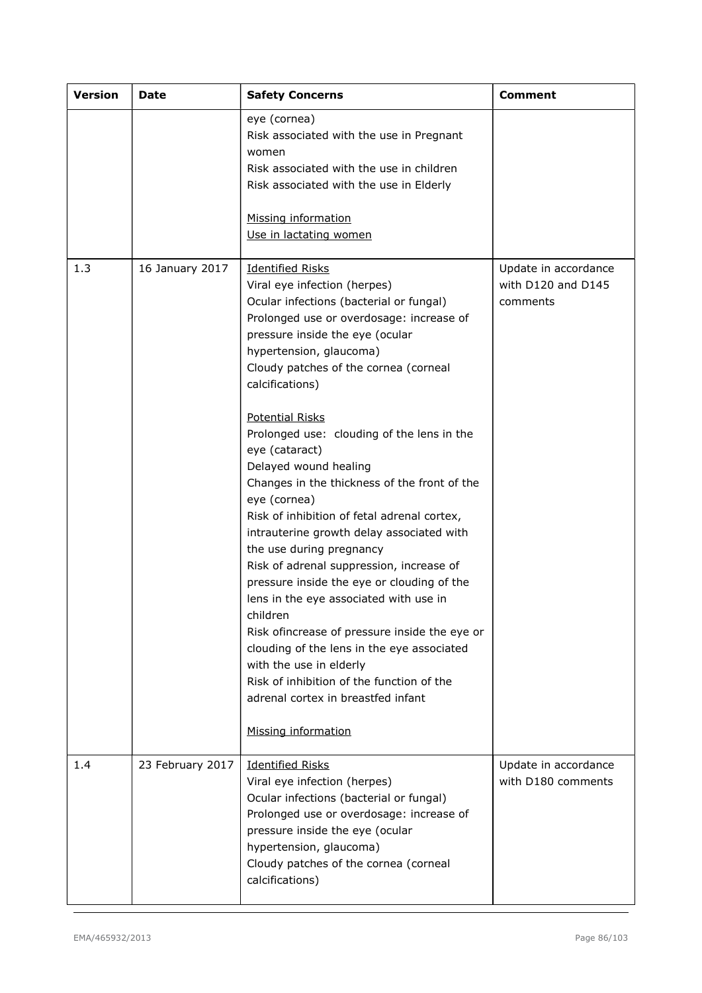| <b>Version</b> | Date             | <b>Safety Concerns</b>                                                                                                                                                                                                                                                                                                                                                                                                                                                                                                                                                                                                                                                                                                                                                                                                                                                                                                                                                  | <b>Comment</b>                                         |
|----------------|------------------|-------------------------------------------------------------------------------------------------------------------------------------------------------------------------------------------------------------------------------------------------------------------------------------------------------------------------------------------------------------------------------------------------------------------------------------------------------------------------------------------------------------------------------------------------------------------------------------------------------------------------------------------------------------------------------------------------------------------------------------------------------------------------------------------------------------------------------------------------------------------------------------------------------------------------------------------------------------------------|--------------------------------------------------------|
|                |                  | eye (cornea)<br>Risk associated with the use in Pregnant<br>women<br>Risk associated with the use in children<br>Risk associated with the use in Elderly<br>Missing information<br>Use in lactating women                                                                                                                                                                                                                                                                                                                                                                                                                                                                                                                                                                                                                                                                                                                                                               |                                                        |
| 1.3            | 16 January 2017  | <b>Identified Risks</b><br>Viral eye infection (herpes)<br>Ocular infections (bacterial or fungal)<br>Prolonged use or overdosage: increase of<br>pressure inside the eye (ocular<br>hypertension, glaucoma)<br>Cloudy patches of the cornea (corneal<br>calcifications)<br><b>Potential Risks</b><br>Prolonged use: clouding of the lens in the<br>eye (cataract)<br>Delayed wound healing<br>Changes in the thickness of the front of the<br>eye (cornea)<br>Risk of inhibition of fetal adrenal cortex,<br>intrauterine growth delay associated with<br>the use during pregnancy<br>Risk of adrenal suppression, increase of<br>pressure inside the eye or clouding of the<br>lens in the eye associated with use in<br>children<br>Risk ofincrease of pressure inside the eye or<br>clouding of the lens in the eye associated<br>with the use in elderly<br>Risk of inhibition of the function of the<br>adrenal cortex in breastfed infant<br>Missing information | Update in accordance<br>with D120 and D145<br>comments |
| 1.4            | 23 February 2017 | <b>Identified Risks</b><br>Viral eye infection (herpes)<br>Ocular infections (bacterial or fungal)<br>Prolonged use or overdosage: increase of<br>pressure inside the eye (ocular<br>hypertension, glaucoma)<br>Cloudy patches of the cornea (corneal<br>calcifications)                                                                                                                                                                                                                                                                                                                                                                                                                                                                                                                                                                                                                                                                                                | Update in accordance<br>with D180 comments             |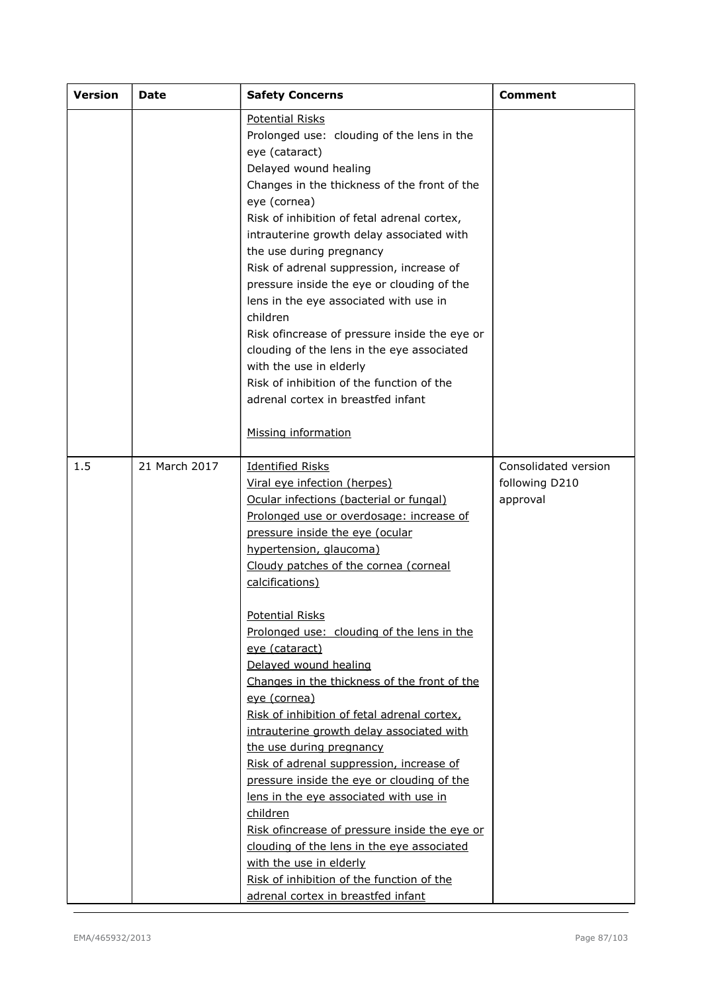| <b>Version</b> | <b>Date</b>   | <b>Safety Concerns</b>                                                                                                                                                                                                                                                                                                                                                                                                                                                                                                                                                                                                                                                                                                                                                                                                                                                                                                                           | <b>Comment</b>                                     |
|----------------|---------------|--------------------------------------------------------------------------------------------------------------------------------------------------------------------------------------------------------------------------------------------------------------------------------------------------------------------------------------------------------------------------------------------------------------------------------------------------------------------------------------------------------------------------------------------------------------------------------------------------------------------------------------------------------------------------------------------------------------------------------------------------------------------------------------------------------------------------------------------------------------------------------------------------------------------------------------------------|----------------------------------------------------|
|                |               | <b>Potential Risks</b><br>Prolonged use: clouding of the lens in the<br>eye (cataract)<br>Delayed wound healing<br>Changes in the thickness of the front of the<br>eye (cornea)<br>Risk of inhibition of fetal adrenal cortex,<br>intrauterine growth delay associated with<br>the use during pregnancy<br>Risk of adrenal suppression, increase of<br>pressure inside the eye or clouding of the<br>lens in the eye associated with use in<br>children<br>Risk ofincrease of pressure inside the eye or<br>clouding of the lens in the eye associated<br>with the use in elderly<br>Risk of inhibition of the function of the<br>adrenal cortex in breastfed infant<br>Missing information                                                                                                                                                                                                                                                      |                                                    |
| 1.5            | 21 March 2017 | <b>Identified Risks</b><br>Viral eye infection (herpes)<br>Ocular infections (bacterial or fungal)<br>Prolonged use or overdosage: increase of<br>pressure inside the eye (ocular<br>hypertension, glaucoma)<br>Cloudy patches of the cornea (corneal<br>calcifications)<br><b>Potential Risks</b><br>Prolonged use: clouding of the lens in the<br>eye (cataract)<br>Delayed wound healing<br>Changes in the thickness of the front of the<br>eye (cornea)<br>Risk of inhibition of fetal adrenal cortex,<br>intrauterine growth delay associated with<br>the use during pregnancy<br>Risk of adrenal suppression, increase of<br>pressure inside the eye or clouding of the<br>lens in the eye associated with use in<br>children<br>Risk ofincrease of pressure inside the eye or<br>clouding of the lens in the eye associated<br>with the use in elderly<br>Risk of inhibition of the function of the<br>adrenal cortex in breastfed infant | Consolidated version<br>following D210<br>approval |